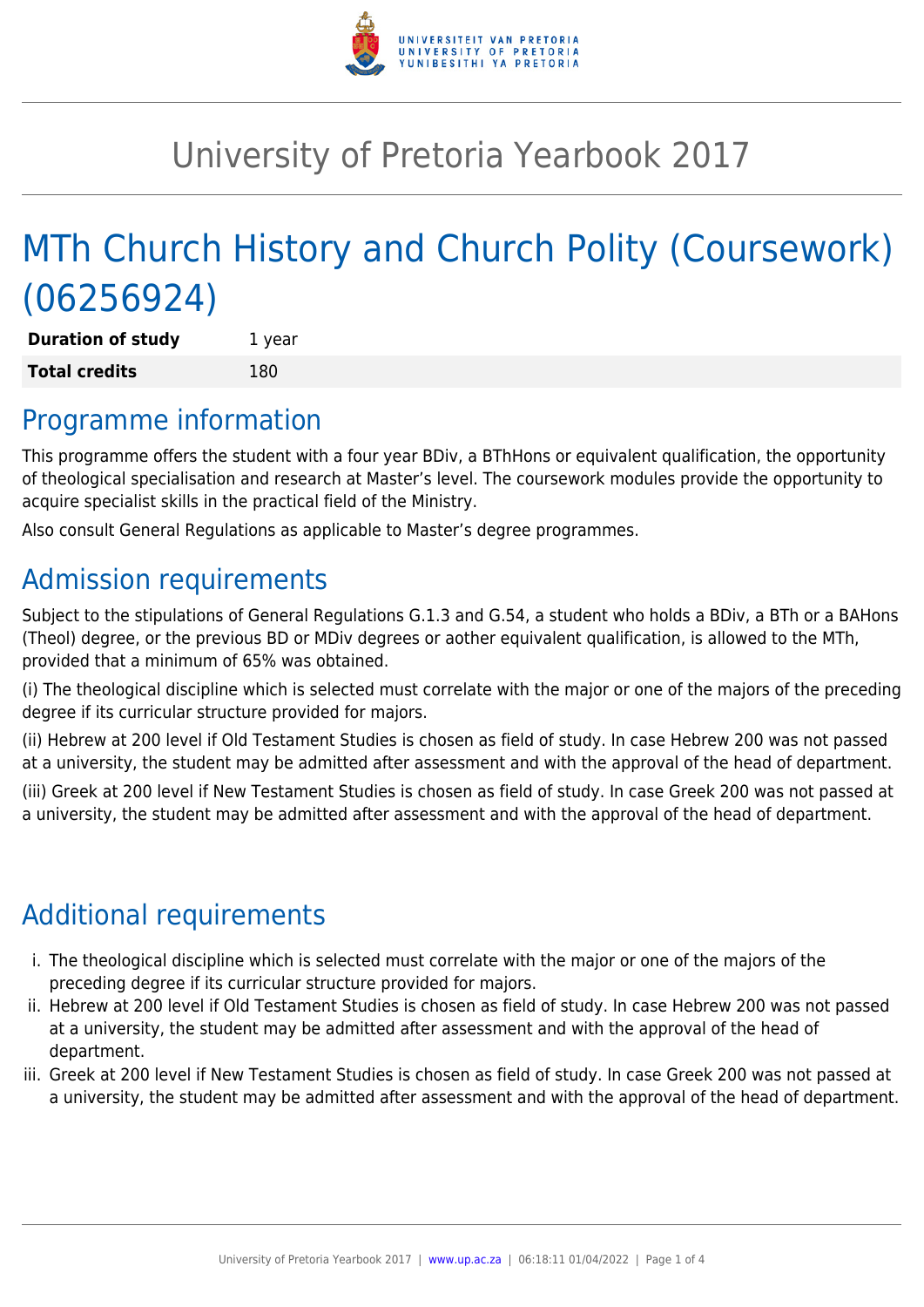

# University of Pretoria Yearbook 2017

# MTh Church History and Church Polity (Coursework) (06256924)

**Duration of study** 1 year **Total credits** 180

## Programme information

This programme offers the student with a four year BDiv, a BThHons or equivalent qualification, the opportunity of theological specialisation and research at Master's level. The coursework modules provide the opportunity to acquire specialist skills in the practical field of the Ministry.

Also consult General Regulations as applicable to Master's degree programmes.

# Admission requirements

Subject to the stipulations of General Regulations G.1.3 and G.54, a student who holds a BDiv, a BTh or a BAHons (Theol) degree, or the previous BD or MDiv degrees or aother equivalent qualification, is allowed to the MTh, provided that a minimum of 65% was obtained.

(i) The theological discipline which is selected must correlate with the major or one of the majors of the preceding degree if its curricular structure provided for majors.

(ii) Hebrew at 200 level if Old Testament Studies is chosen as field of study. In case Hebrew 200 was not passed at a university, the student may be admitted after assessment and with the approval of the head of department.

(iii) Greek at 200 level if New Testament Studies is chosen as field of study. In case Greek 200 was not passed at a university, the student may be admitted after assessment and with the approval of the head of department.

# Additional requirements

- i. The theological discipline which is selected must correlate with the major or one of the majors of the preceding degree if its curricular structure provided for majors.
- ii. Hebrew at 200 level if Old Testament Studies is chosen as field of study. In case Hebrew 200 was not passed at a university, the student may be admitted after assessment and with the approval of the head of department.
- iii. Greek at 200 level if New Testament Studies is chosen as field of study. In case Greek 200 was not passed at a university, the student may be admitted after assessment and with the approval of the head of department.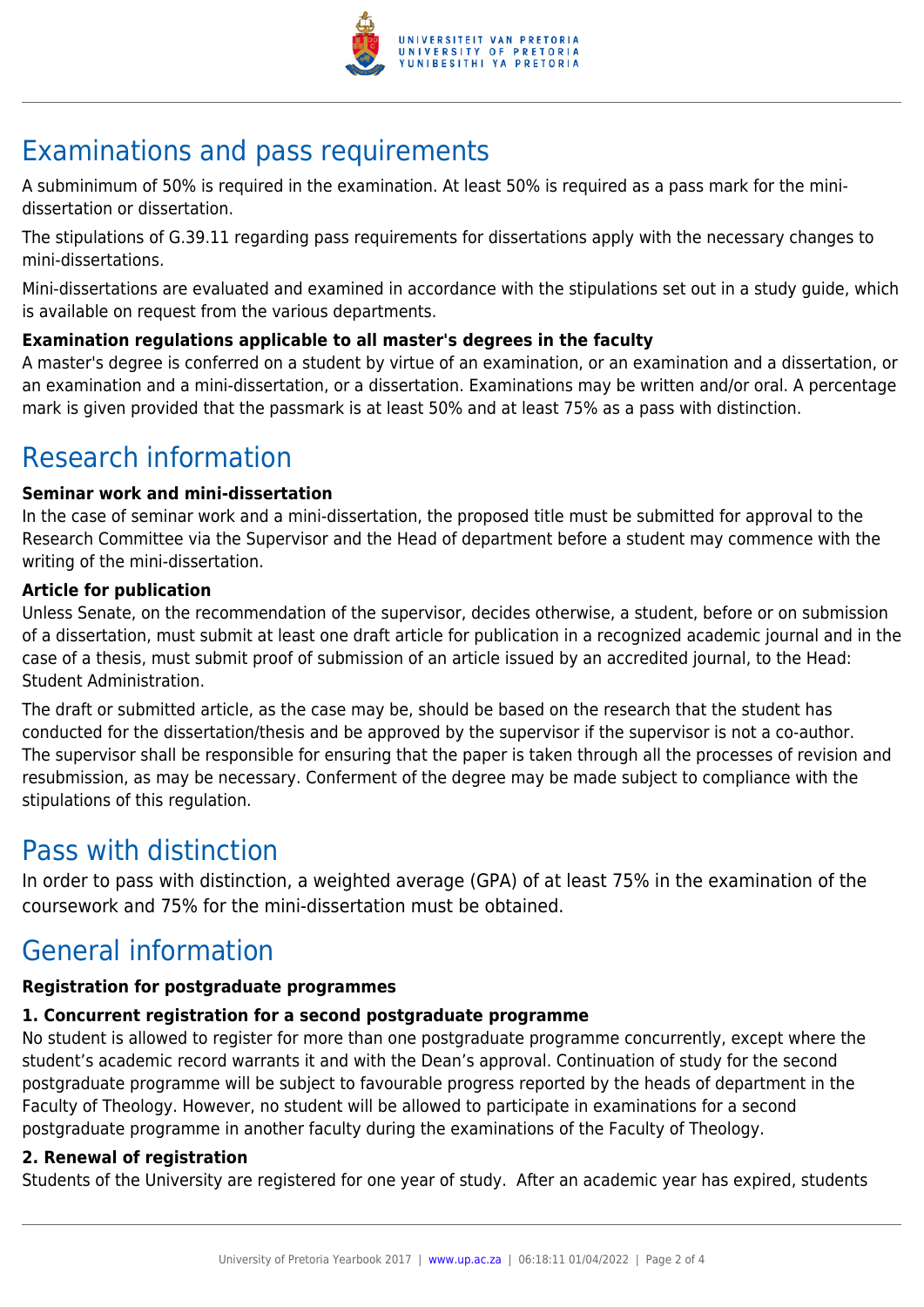

# Examinations and pass requirements

A subminimum of 50% is required in the examination. At least 50% is required as a pass mark for the minidissertation or dissertation.

The stipulations of G.39.11 regarding pass requirements for dissertations apply with the necessary changes to mini-dissertations.

Mini-dissertations are evaluated and examined in accordance with the stipulations set out in a study guide, which is available on request from the various departments.

#### **Examination regulations applicable to all master's degrees in the faculty**

A master's degree is conferred on a student by virtue of an examination, or an examination and a dissertation, or an examination and a mini-dissertation, or a dissertation. Examinations may be written and/or oral. A percentage mark is given provided that the passmark is at least 50% and at least 75% as a pass with distinction.

## Research information

#### **Seminar work and mini-dissertation**

In the case of seminar work and a mini-dissertation, the proposed title must be submitted for approval to the Research Committee via the Supervisor and the Head of department before a student may commence with the writing of the mini-dissertation.

#### **Article for publication**

Unless Senate, on the recommendation of the supervisor, decides otherwise, a student, before or on submission of a dissertation, must submit at least one draft article for publication in a recognized academic journal and in the case of a thesis, must submit proof of submission of an article issued by an accredited journal, to the Head: Student Administration.

The draft or submitted article, as the case may be, should be based on the research that the student has conducted for the dissertation/thesis and be approved by the supervisor if the supervisor is not a co-author. The supervisor shall be responsible for ensuring that the paper is taken through all the processes of revision and resubmission, as may be necessary. Conferment of the degree may be made subject to compliance with the stipulations of this regulation.

### Pass with distinction

In order to pass with distinction, a weighted average (GPA) of at least 75% in the examination of the coursework and 75% for the mini-dissertation must be obtained.

## General information

#### **Registration for postgraduate programmes**

#### **1. Concurrent registration for a second postgraduate programme**

No student is allowed to register for more than one postgraduate programme concurrently, except where the student's academic record warrants it and with the Dean's approval. Continuation of study for the second postgraduate programme will be subject to favourable progress reported by the heads of department in the Faculty of Theology. However, no student will be allowed to participate in examinations for a second postgraduate programme in another faculty during the examinations of the Faculty of Theology.

#### **2. Renewal of registration**

Students of the University are registered for one year of study. After an academic year has expired, students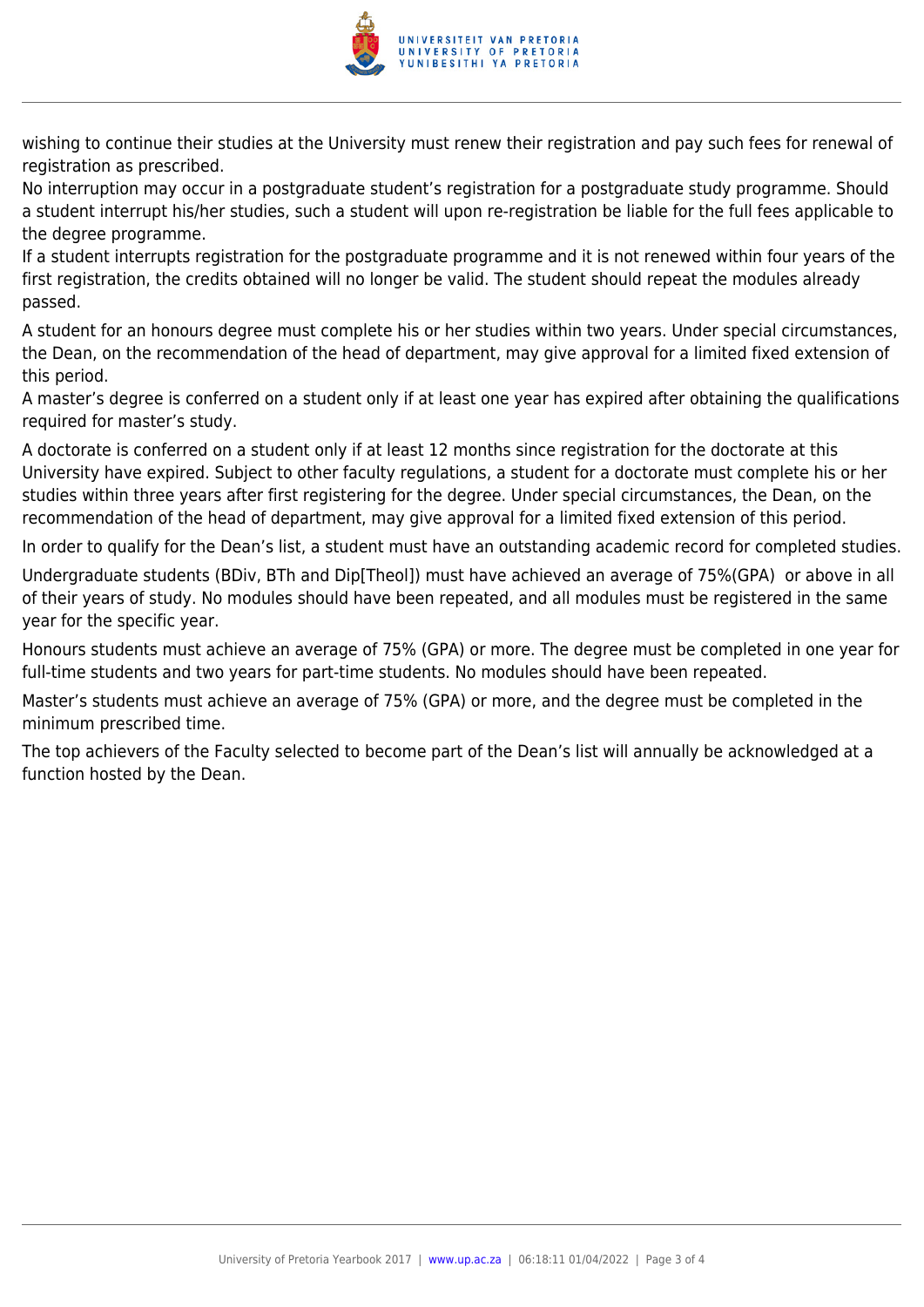

wishing to continue their studies at the University must renew their registration and pay such fees for renewal of registration as prescribed.

No interruption may occur in a postgraduate student's registration for a postgraduate study programme. Should a student interrupt his/her studies, such a student will upon re-registration be liable for the full fees applicable to the degree programme.

If a student interrupts registration for the postgraduate programme and it is not renewed within four years of the first registration, the credits obtained will no longer be valid. The student should repeat the modules already passed.

A student for an honours degree must complete his or her studies within two years. Under special circumstances, the Dean, on the recommendation of the head of department, may give approval for a limited fixed extension of this period.

A master's degree is conferred on a student only if at least one year has expired after obtaining the qualifications required for master's study.

A doctorate is conferred on a student only if at least 12 months since registration for the doctorate at this University have expired. Subject to other faculty regulations, a student for a doctorate must complete his or her studies within three years after first registering for the degree. Under special circumstances, the Dean, on the recommendation of the head of department, may give approval for a limited fixed extension of this period.

In order to qualify for the Dean's list, a student must have an outstanding academic record for completed studies.

Undergraduate students (BDiv, BTh and Dip[Theol]) must have achieved an average of 75%(GPA) or above in all of their years of study. No modules should have been repeated, and all modules must be registered in the same year for the specific year.

Honours students must achieve an average of 75% (GPA) or more. The degree must be completed in one year for full-time students and two years for part-time students. No modules should have been repeated.

Master's students must achieve an average of 75% (GPA) or more, and the degree must be completed in the minimum prescribed time.

The top achievers of the Faculty selected to become part of the Dean's list will annually be acknowledged at a function hosted by the Dean.